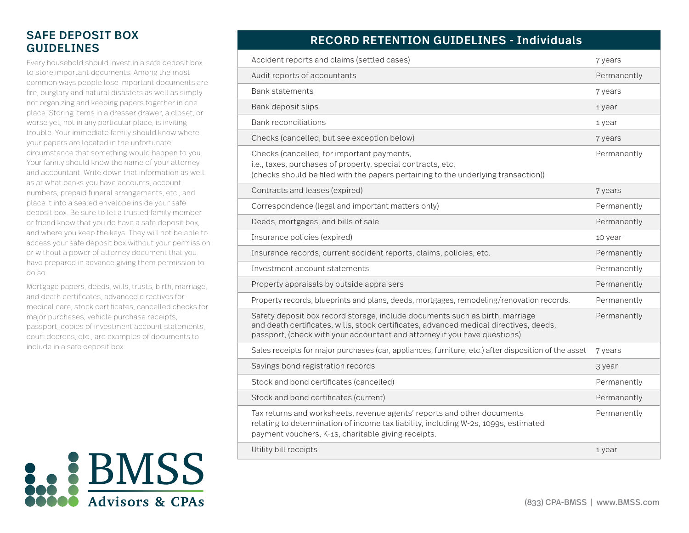## SAFE DEPOSIT BOX GUIDELINES

Every household should invest in a safe deposit box to store important documents. Among the most common ways people lose important documents are fire, burglary and natural disasters as well as simply not organizing and keeping papers together in one place. Storing items in a dresser drawer, a closet, or worse yet, not in any particular place, is inviting trouble. Your immediate family should know where your papers are located in the unfortunate circumstance that something would happen to you. Your family should know the name of your attorney and accountant. Write down that information as well as at what banks you have accounts, account numbers, prepaid funeral arrangements, etc., and place it into a sealed envelope inside your safe deposit box. Be sure to let a trusted family member or friend know that you do have a safe deposit box, and where you keep the keys. They will not be able to access your safe deposit box without your permission or without a power of attorney document that you have prepared in advance giving them permission to do so.

Mortgage papers, deeds, wills, trusts, birth, marriage, and death certificates, advanced directives for medical care, stock certificates, cancelled checks for major purchases, vehicle purchase receipts, passport, copies of investment account statements, court decrees, etc., are examples of documents to include in a safe deposit box.



## RECORD RETENTION GUIDELINES - Individuals

| Accident reports and claims (settled cases)                                                                                                                                                                                                         | 7 years     |
|-----------------------------------------------------------------------------------------------------------------------------------------------------------------------------------------------------------------------------------------------------|-------------|
| Audit reports of accountants                                                                                                                                                                                                                        | Permanently |
| <b>Bank statements</b>                                                                                                                                                                                                                              | 7 years     |
| Bank deposit slips                                                                                                                                                                                                                                  | 1 year      |
| <b>Bank reconciliations</b>                                                                                                                                                                                                                         | 1 year      |
| Checks (cancelled, but see exception below)                                                                                                                                                                                                         | 7 years     |
| Checks (cancelled, for important payments,<br>i.e., taxes, purchases of property, special contracts, etc.<br>(checks should be filed with the papers pertaining to the underlying transaction))                                                     | Permanently |
| Contracts and leases (expired)                                                                                                                                                                                                                      | 7 years     |
| Correspondence (legal and important matters only)                                                                                                                                                                                                   | Permanently |
| Deeds, mortgages, and bills of sale                                                                                                                                                                                                                 | Permanently |
| Insurance policies (expired)                                                                                                                                                                                                                        | 10 year     |
| Insurance records, current accident reports, claims, policies, etc.                                                                                                                                                                                 | Permanently |
| Investment account statements                                                                                                                                                                                                                       | Permanently |
| Property appraisals by outside appraisers                                                                                                                                                                                                           | Permanently |
| Property records, blueprints and plans, deeds, mortgages, remodeling/renovation records.                                                                                                                                                            | Permanently |
| Safety deposit box record storage, include documents such as birth, marriage<br>and death certificates, wills, stock certificates, advanced medical directives, deeds,<br>passport, (check with your accountant and attorney if you have questions) | Permanently |
| Sales receipts for major purchases (car, appliances, furniture, etc.) after disposition of the asset                                                                                                                                                | 7 years     |
| Savings bond registration records                                                                                                                                                                                                                   | 3 year      |
| Stock and bond certificates (cancelled)                                                                                                                                                                                                             | Permanently |
| Stock and bond certificates (current)                                                                                                                                                                                                               | Permanently |
| Tax returns and worksheets, revenue agents' reports and other documents<br>relating to determination of income tax liability, including W-2s, 1099s, estimated<br>payment vouchers, K-1s, charitable giving receipts.                               | Permanently |
| Utility bill receipts                                                                                                                                                                                                                               | 1 year      |